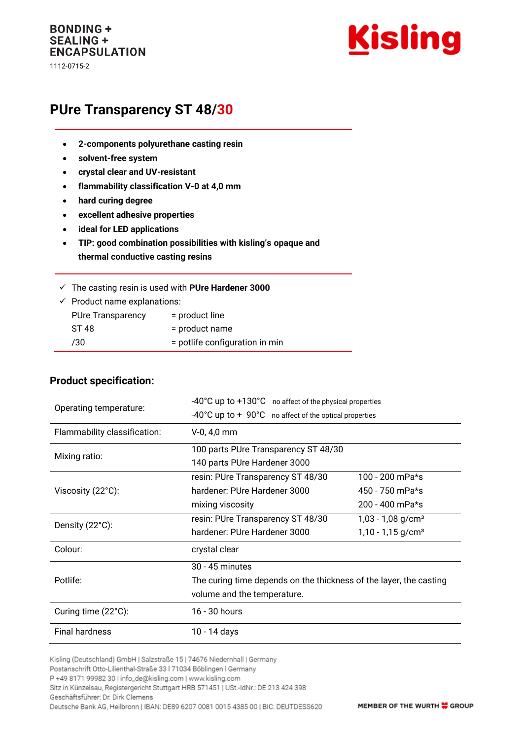## **BONDING + SEALING + ENCAPSULATION**

1112-0715-2



# **PUre Transparency ST 48/30**

- **2-components polyurethane casting resin**
- **solvent-free system**
- **crystal clear and UV-resistant**
- **flammability classification V-0 at 4,0 mm**
- **hard curing degree**
- **excellent adhesive properties**
- **ideal for LED applications**
- **TIP: good combination possibilities with kisling's opaque and thermal conductive casting resins**

| $\checkmark$ The casting resin is used with PUre Hardener 3000 |  |  |  |
|----------------------------------------------------------------|--|--|--|
|                                                                |  |  |  |

 $\checkmark$  Product name explanations: PUre Transparency = product line

| <b>U</b> VIV THUNDPUIVIIV | programme                      |
|---------------------------|--------------------------------|
| ST 48                     | $=$ product name               |
| /30                       | = potlife configuration in min |

#### **Product specification:**

| Operating temperature:       | -40°C up to +130°C no affect of the physical properties                   |                                 |  |  |
|------------------------------|---------------------------------------------------------------------------|---------------------------------|--|--|
|                              | $-40^{\circ}$ C up to $+90^{\circ}$ C no affect of the optical properties |                                 |  |  |
| Flammability classification: | $V-0, 4, 0$ mm                                                            |                                 |  |  |
| Mixing ratio:                | 100 parts PUre Transparency ST 48/30                                      |                                 |  |  |
|                              | 140 parts PUre Hardener 3000                                              |                                 |  |  |
|                              | resin: PUre Transparency ST 48/30                                         | 100 - 200 mPa*s                 |  |  |
| Viscosity (22°C):            | hardener: PUre Hardener 3000                                              | 450 - 750 mPa*s                 |  |  |
|                              | mixing viscosity                                                          | 200 - 400 mPa*s                 |  |  |
| Density (22°C):              | resin: PUre Transparency ST 48/30                                         | $1,03 - 1,08$ g/cm <sup>3</sup> |  |  |
|                              | hardener: PUre Hardener 3000                                              | $1,10 - 1,15$ g/cm <sup>3</sup> |  |  |
| Colour:                      | crystal clear                                                             |                                 |  |  |
|                              | 30 - 45 minutes                                                           |                                 |  |  |
| Potlife:                     | The curing time depends on the thickness of the layer, the casting        |                                 |  |  |
|                              | volume and the temperature.                                               |                                 |  |  |
| Curing time (22°C):          | 16 - 30 hours                                                             |                                 |  |  |
| <b>Final hardness</b>        | 10 - 14 days                                                              |                                 |  |  |

Kisling (Deutschland) GmbH | Salzstraße 15 | 74676 Niedernhall | Germany

P +49 8171 99982 30 | info\_de@kisling.com | www.kisling.com

Sitz in Künzelsau, Registergericht Stuttgart HRB 571451 | USt.-IdNr.: DE 213 424 398

Geschäftsführer: Dr. Dirk Clemens

Deutsche Bank AG, Heilbronn | IBAN: DE89 6207 0081 0015 4385 00 | BIC: DEUTDESS620

Postanschrift Otto-Lilienthal-Straße 33 | 71034 Böblingen | Germany